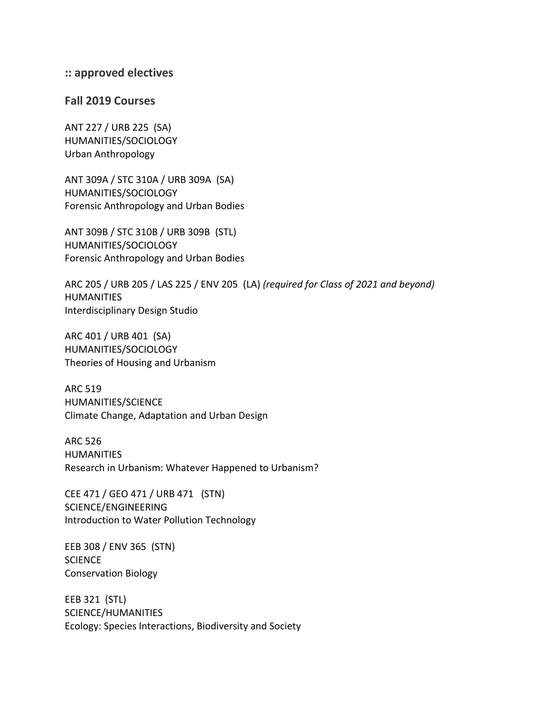## **:: approved electives**

## **Fall 2019 Courses**

ANT 227 / URB 225 (SA) HUMANITIES/SOCIOLOGY Urban Anthropology

ANT 309A / STC 310A / URB 309A (SA) HUMANITIES/SOCIOLOGY Forensic Anthropology and Urban Bodies

ANT 309B / STC 310B / URB 309B (STL) HUMANITIES/SOCIOLOGY Forensic Anthropology and Urban Bodies

ARC 205 / URB 205 / LAS 225 / ENV 205 (LA) *(required for Class of 2021 and beyond)* HUMANITIES Interdisciplinary Design Studio

ARC 401 / URB 401 (SA) HUMANITIES/SOCIOLOGY Theories of Housing and Urbanism

ARC 519 HUMANITIES/SCIENCE Climate Change, Adaptation and Urban Design

ARC 526 **HUMANITIES** Research in Urbanism: Whatever Happened to Urbanism?

CEE 471 / GEO 471 / URB 471 (STN) SCIENCE/ENGINEERING Introduction to Water Pollution Technology

EEB 308 / ENV 365 (STN) **SCIENCE** Conservation Biology

EEB 321 (STL) SCIENCE/HUMANITIES Ecology: Species Interactions, Biodiversity and Society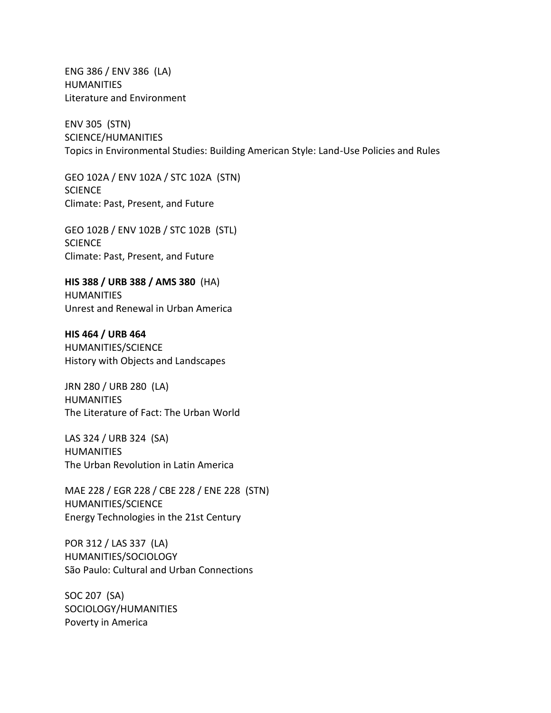ENG 386 / ENV 386 (LA) HUMANITIES Literature and Environment

ENV 305 (STN) SCIENCE/HUMANITIES Topics in Environmental Studies: Building American Style: Land-Use Policies and Rules

GEO 102A / ENV 102A / STC 102A (STN) **SCIENCE** Climate: Past, Present, and Future

GEO 102B / ENV 102B / STC 102B (STL) **SCIENCE** Climate: Past, Present, and Future

**HIS 388 / URB 388 / AMS 380** (HA) **HUMANITIES** Unrest and Renewal in Urban America

**HIS 464 / URB 464**  HUMANITIES/SCIENCE History with Objects and Landscapes

JRN 280 / URB 280 (LA) **HUMANITIES** The Literature of Fact: The Urban World

LAS 324 / URB 324 (SA) **HUMANITIES** The Urban Revolution in Latin America

MAE 228 / EGR 228 / CBE 228 / ENE 228 (STN) HUMANITIES/SCIENCE Energy Technologies in the 21st Century

POR 312 / LAS 337 (LA) HUMANITIES/SOCIOLOGY São Paulo: Cultural and Urban Connections

SOC 207 (SA) SOCIOLOGY/HUMANITIES Poverty in America